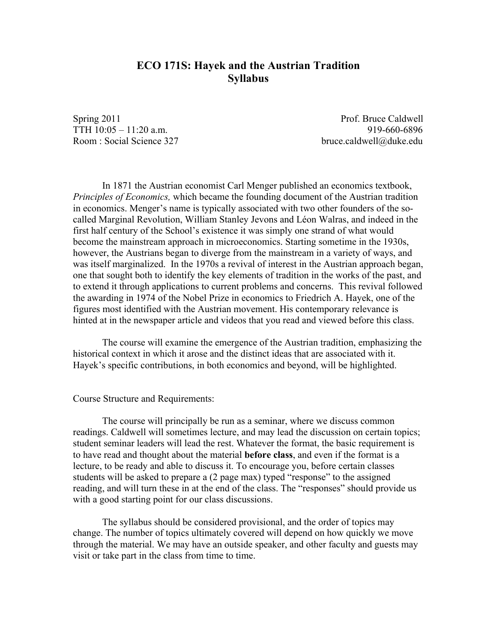# **ECO 171S: Hayek and the Austrian Tradition Syllabus**

Spring 2011 **Prof.** Bruce Caldwell TTH 10:05 – 11:20 a.m. 919-660-6896 Room : Social Science 327 bruce.caldwell@duke.edu

In 1871 the Austrian economist Carl Menger published an economics textbook, *Principles of Economics,* which became the founding document of the Austrian tradition in economics. Menger's name is typically associated with two other founders of the socalled Marginal Revolution, William Stanley Jevons and Léon Walras, and indeed in the first half century of the School's existence it was simply one strand of what would become the mainstream approach in microeconomics. Starting sometime in the 1930s, however, the Austrians began to diverge from the mainstream in a variety of ways, and was itself marginalized. In the 1970s a revival of interest in the Austrian approach began, one that sought both to identify the key elements of tradition in the works of the past, and to extend it through applications to current problems and concerns. This revival followed the awarding in 1974 of the Nobel Prize in economics to Friedrich A. Hayek, one of the figures most identified with the Austrian movement. His contemporary relevance is hinted at in the newspaper article and videos that you read and viewed before this class.

The course will examine the emergence of the Austrian tradition, emphasizing the historical context in which it arose and the distinct ideas that are associated with it. Hayek's specific contributions, in both economics and beyond, will be highlighted.

Course Structure and Requirements:

The course will principally be run as a seminar, where we discuss common readings. Caldwell will sometimes lecture, and may lead the discussion on certain topics; student seminar leaders will lead the rest. Whatever the format, the basic requirement is to have read and thought about the material **before class**, and even if the format is a lecture, to be ready and able to discuss it. To encourage you, before certain classes students will be asked to prepare a (2 page max) typed "response" to the assigned reading, and will turn these in at the end of the class. The "responses" should provide us with a good starting point for our class discussions.

The syllabus should be considered provisional, and the order of topics may change. The number of topics ultimately covered will depend on how quickly we move through the material. We may have an outside speaker, and other faculty and guests may visit or take part in the class from time to time.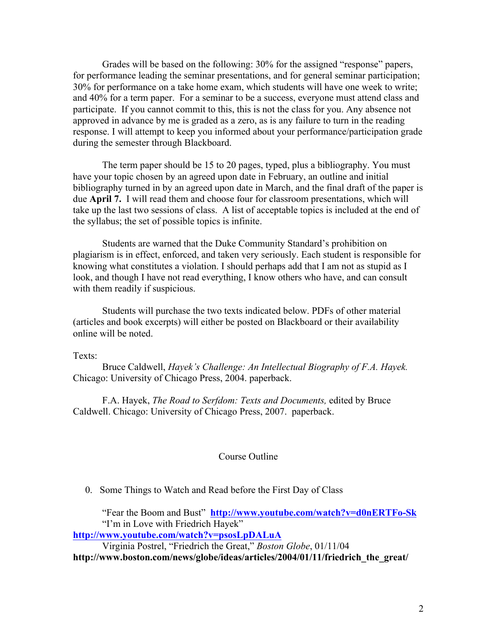Grades will be based on the following: 30% for the assigned "response" papers, for performance leading the seminar presentations, and for general seminar participation; 30% for performance on a take home exam, which students will have one week to write; and 40% for a term paper. For a seminar to be a success, everyone must attend class and participate. If you cannot commit to this, this is not the class for you. Any absence not approved in advance by me is graded as a zero, as is any failure to turn in the reading response. I will attempt to keep you informed about your performance/participation grade during the semester through Blackboard.

The term paper should be 15 to 20 pages, typed, plus a bibliography. You must have your topic chosen by an agreed upon date in February, an outline and initial bibliography turned in by an agreed upon date in March, and the final draft of the paper is due **April 7.** I will read them and choose four for classroom presentations, which will take up the last two sessions of class. A list of acceptable topics is included at the end of the syllabus; the set of possible topics is infinite.

Students are warned that the Duke Community Standard's prohibition on plagiarism is in effect, enforced, and taken very seriously. Each student is responsible for knowing what constitutes a violation. I should perhaps add that I am not as stupid as I look, and though I have not read everything, I know others who have, and can consult with them readily if suspicious.

Students will purchase the two texts indicated below. PDFs of other material (articles and book excerpts) will either be posted on Blackboard or their availability online will be noted.

Texts:

Bruce Caldwell, *Hayek's Challenge: An Intellectual Biography of F.A. Hayek.*  Chicago: University of Chicago Press, 2004. paperback.

F.A. Hayek, *The Road to Serfdom: Texts and Documents,* edited by Bruce Caldwell. Chicago: University of Chicago Press, 2007. paperback.

#### Course Outline

0. Some Things to Watch and Read before the First Day of Class

"Fear the Boom and Bust" **http://www.youtube.com/watch?v=d0nERTFo-Sk** "I'm in Love with Friedrich Hayek"

**http://www.youtube.com/watch?v=psosLpDALuA**

Virginia Postrel, "Friedrich the Great," *Boston Globe*, 01/11/04

**http://www.boston.com/news/globe/ideas/articles/2004/01/11/friedrich\_the\_great/**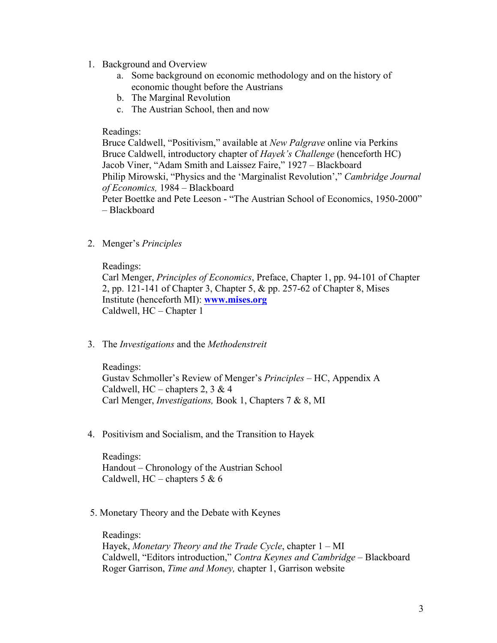- 1. Background and Overview
	- a. Some background on economic methodology and on the history of economic thought before the Austrians
	- b. The Marginal Revolution
	- c. The Austrian School, then and now

## Readings:

Bruce Caldwell, "Positivism," available at *New Palgrave* online via Perkins Bruce Caldwell, introductory chapter of *Hayek's Challenge* (henceforth HC) Jacob Viner, "Adam Smith and Laissez Faire," 1927 – Blackboard Philip Mirowski, "Physics and the 'Marginalist Revolution'," *Cambridge Journal of Economics,* 1984 – Blackboard

Peter Boettke and Pete Leeson - "The Austrian School of Economics, 1950-2000" – Blackboard

2. Menger's *Principles*

## Readings:

Carl Menger, *Principles of Economics*, Preface, Chapter 1, pp. 94-101 of Chapter 2, pp. 121-141 of Chapter 3, Chapter 5, & pp. 257-62 of Chapter 8, Mises Institute (henceforth MI): **www.mises.org** Caldwell, HC – Chapter 1

3. The *Investigations* and the *Methodenstreit*

Readings: Gustav Schmoller's Review of Menger's *Principles –* HC, Appendix A Caldwell,  $HC -$ chapters 2, 3 & 4 Carl Menger, *Investigations,* Book 1, Chapters 7 & 8, MI

4. Positivism and Socialism, and the Transition to Hayek

Readings: Handout – Chronology of the Austrian School Caldwell,  $HC -$ chapters 5 & 6

5. Monetary Theory and the Debate with Keynes

Readings: Hayek, *Monetary Theory and the Trade Cycle*, chapter 1 – MI Caldwell, "Editors introduction," *Contra Keynes and Cambridge* – Blackboard Roger Garrison, *Time and Money,* chapter 1, Garrison website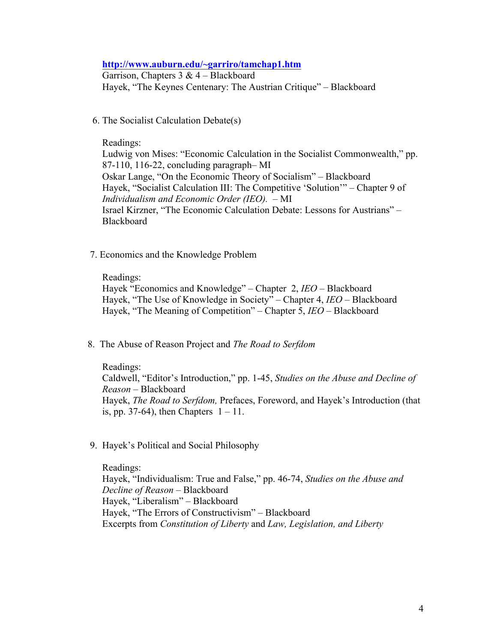#### **http://www.auburn.edu/~garriro/tamchap1.htm**

Garrison, Chapters  $3 \& 4 - Blackboard$ Hayek, "The Keynes Centenary: The Austrian Critique" – Blackboard

6. The Socialist Calculation Debate(s)

### Readings:

Ludwig von Mises: "Economic Calculation in the Socialist Commonwealth," pp. 87-110, 116-22, concluding paragraph– MI Oskar Lange, "On the Economic Theory of Socialism" – Blackboard Hayek, "Socialist Calculation III: The Competitive 'Solution'" – Chapter 9 of *Individualism and Economic Order (IEO).* – MI Israel Kirzner, "The Economic Calculation Debate: Lessons for Austrians" – **Blackboard** 

7. Economics and the Knowledge Problem

Readings:

Hayek "Economics and Knowledge" – Chapter 2, *IEO –* Blackboard Hayek, "The Use of Knowledge in Society" – Chapter 4, *IEO* – Blackboard Hayek, "The Meaning of Competition" – Chapter 5, *IEO* – Blackboard

- 8. The Abuse of Reason Project and *The Road to Serfdom*
	- Readings:

Caldwell, "Editor's Introduction," pp. 1-45, *Studies on the Abuse and Decline of Reason* – Blackboard Hayek, *The Road to Serfdom,* Prefaces, Foreword, and Hayek's Introduction (that is, pp. 37-64), then Chapters  $1 - 11$ .

9. Hayek's Political and Social Philosophy

Readings: Hayek, "Individualism: True and False," pp. 46-74, *Studies on the Abuse and Decline of Reason –* Blackboard Hayek, "Liberalism" – Blackboard Hayek, "The Errors of Constructivism" – Blackboard Excerpts from *Constitution of Liberty* and *Law, Legislation, and Liberty*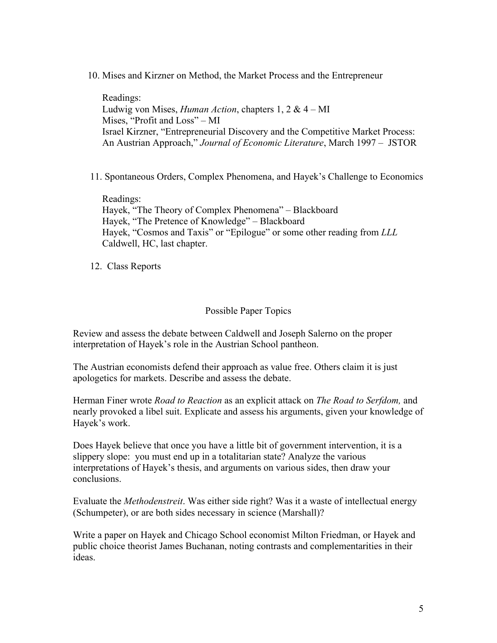10. Mises and Kirzner on Method, the Market Process and the Entrepreneur

Readings: Ludwig von Mises, *Human Action*, chapters 1, 2 & 4 – MI Mises, "Profit and Loss" – MI Israel Kirzner, "Entrepreneurial Discovery and the Competitive Market Process: An Austrian Approach," *Journal of Economic Literature*, March 1997 – JSTOR

11. Spontaneous Orders, Complex Phenomena, and Hayek's Challenge to Economics

Readings: Hayek, "The Theory of Complex Phenomena" – Blackboard Hayek, "The Pretence of Knowledge" – Blackboard Hayek, "Cosmos and Taxis" or "Epilogue" or some other reading from *LLL* Caldwell, HC, last chapter.

12. Class Reports

## Possible Paper Topics

Review and assess the debate between Caldwell and Joseph Salerno on the proper interpretation of Hayek's role in the Austrian School pantheon.

The Austrian economists defend their approach as value free. Others claim it is just apologetics for markets. Describe and assess the debate.

Herman Finer wrote *Road to Reaction* as an explicit attack on *The Road to Serfdom,* and nearly provoked a libel suit. Explicate and assess his arguments, given your knowledge of Hayek's work.

Does Hayek believe that once you have a little bit of government intervention, it is a slippery slope: you must end up in a totalitarian state? Analyze the various interpretations of Hayek's thesis, and arguments on various sides, then draw your conclusions.

Evaluate the *Methodenstreit*. Was either side right? Was it a waste of intellectual energy (Schumpeter), or are both sides necessary in science (Marshall)?

Write a paper on Hayek and Chicago School economist Milton Friedman, or Hayek and public choice theorist James Buchanan, noting contrasts and complementarities in their ideas.